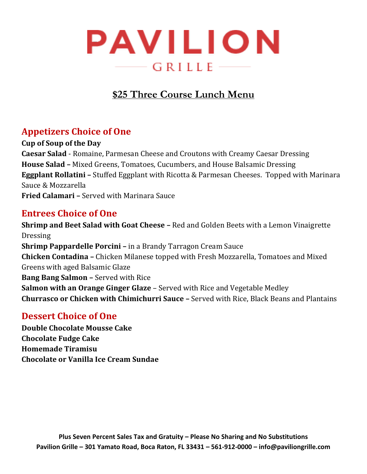

# **\$25 Three Course Lunch Menu**

## **Appetizers Choice of One**

**Cup of Soup of the Day Caesar Salad** - Romaine, Parmesan Cheese and Croutons with Creamy Caesar Dressing **House Salad –** Mixed Greens, Tomatoes, Cucumbers, and House Balsamic Dressing **Eggplant Rollatini –** Stuffed Eggplant with Ricotta & Parmesan Cheeses. Topped with Marinara Sauce & Mozzarella **Fried Calamari –** Served with Marinara Sauce

### **Entrees Choice of One**

**Shrimp and Beet Salad with Goat Cheese –** Red and Golden Beets with a Lemon Vinaigrette Dressing **Shrimp Pappardelle Porcini –** in a Brandy Tarragon Cream Sauce **Chicken Contadina –** Chicken Milanese topped with Fresh Mozzarella, Tomatoes and Mixed Greens with aged Balsamic Glaze **Bang Bang Salmon –** Served with Rice **Salmon with an Orange Ginger Glaze** – Served with Rice and Vegetable Medley **Churrasco or Chicken with Chimichurri Sauce –** Served with Rice, Black Beans and Plantains

### **Dessert Choice of One**

**Double Chocolate Mousse Cake Chocolate Fudge Cake Homemade Tiramisu Chocolate or Vanilla Ice Cream Sundae**